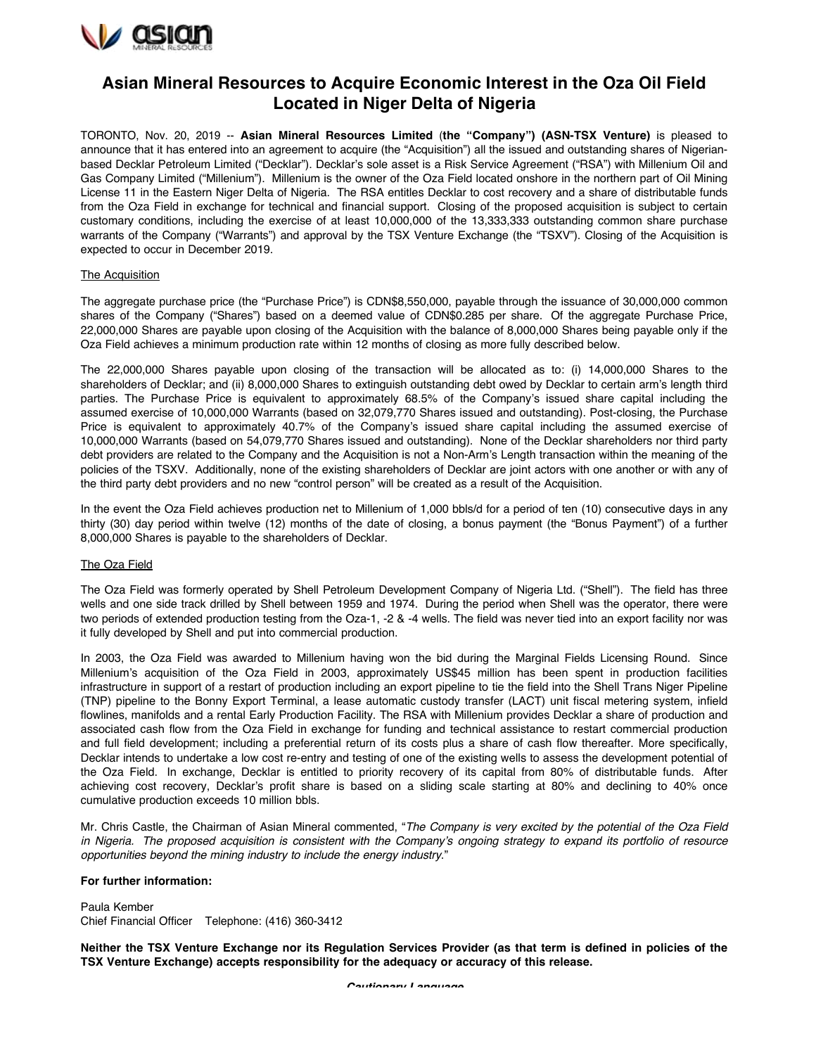

## **Asian Mineral Resources to Acquire Economic Interest in the Oza Oil Field Located in Niger Delta of Nigeria**

TORONTO, Nov. 20, 2019 -- **Asian Mineral Resources Limited** (**the "Company") (ASN-TSX Venture)** is pleased to announce that it has entered into an agreement to acquire (the "Acquisition") all the issued and outstanding shares of Nigerianbased Decklar Petroleum Limited ("Decklar"). Decklar's sole asset is a Risk Service Agreement ("RSA") with Millenium Oil and Gas Company Limited ("Millenium"). Millenium is the owner of the Oza Field located onshore in the northern part of Oil Mining License 11 in the Eastern Niger Delta of Nigeria. The RSA entitles Decklar to cost recovery and a share of distributable funds from the Oza Field in exchange for technical and financial support. Closing of the proposed acquisition is subject to certain customary conditions, including the exercise of at least 10,000,000 of the 13,333,333 outstanding common share purchase warrants of the Company ("Warrants") and approval by the TSX Venture Exchange (the "TSXV"). Closing of the Acquisition is expected to occur in December 2019.

## The Acquisition

The aggregate purchase price (the "Purchase Price") is CDN\$8,550,000, payable through the issuance of 30,000,000 common shares of the Company ("Shares") based on a deemed value of CDN\$0.285 per share. Of the aggregate Purchase Price, 22,000,000 Shares are payable upon closing of the Acquisition with the balance of 8,000,000 Shares being payable only if the Oza Field achieves a minimum production rate within 12 months of closing as more fully described below.

The 22,000,000 Shares payable upon closing of the transaction will be allocated as to: (i) 14,000,000 Shares to the shareholders of Decklar; and (ii) 8,000,000 Shares to extinguish outstanding debt owed by Decklar to certain arm's length third parties. The Purchase Price is equivalent to approximately 68.5% of the Company's issued share capital including the assumed exercise of 10,000,000 Warrants (based on 32,079,770 Shares issued and outstanding). Post-closing, the Purchase Price is equivalent to approximately 40.7% of the Company's issued share capital including the assumed exercise of 10,000,000 Warrants (based on 54,079,770 Shares issued and outstanding). None of the Decklar shareholders nor third party debt providers are related to the Company and the Acquisition is not a Non-Arm's Length transaction within the meaning of the policies of the TSXV. Additionally, none of the existing shareholders of Decklar are joint actors with one another or with any of the third party debt providers and no new "control person" will be created as a result of the Acquisition.

In the event the Oza Field achieves production net to Millenium of 1,000 bbls/d for a period of ten (10) consecutive days in any thirty (30) day period within twelve (12) months of the date of closing, a bonus payment (the "Bonus Payment") of a further 8,000,000 Shares is payable to the shareholders of Decklar.

## The Oza Field

The Oza Field was formerly operated by Shell Petroleum Development Company of Nigeria Ltd. ("Shell"). The field has three wells and one side track drilled by Shell between 1959 and 1974. During the period when Shell was the operator, there were two periods of extended production testing from the Oza-1, -2 & -4 wells. The field was never tied into an export facility nor was it fully developed by Shell and put into commercial production.

In 2003, the Oza Field was awarded to Millenium having won the bid during the Marginal Fields Licensing Round. Since Millenium's acquisition of the Oza Field in 2003, approximately US\$45 million has been spent in production facilities infrastructure in support of a restart of production including an export pipeline to tie the field into the Shell Trans Niger Pipeline (TNP) pipeline to the Bonny Export Terminal, a lease automatic custody transfer (LACT) unit fiscal metering system, infield flowlines, manifolds and a rental Early Production Facility. The RSA with Millenium provides Decklar a share of production and associated cash flow from the Oza Field in exchange for funding and technical assistance to restart commercial production and full field development; including a preferential return of its costs plus a share of cash flow thereafter. More specifically, Decklar intends to undertake a low cost re-entry and testing of one of the existing wells to assess the development potential of the Oza Field. In exchange, Decklar is entitled to priority recovery of its capital from 80% of distributable funds. After achieving cost recovery, Decklar's profit share is based on a sliding scale starting at 80% and declining to 40% once cumulative production exceeds 10 million bbls.

Mr. Chris Castle, the Chairman of Asian Mineral commented, "*The Company is very excited by the potential of the Oza Field in Nigeria. The proposed acquisition is consistent with the Company's ongoing strategy to expand its portfolio of resource opportunities beyond the mining industry to include the energy industry*."

## **For further information:**

Paula Kember Chief Financial Officer Telephone: (416) 360-3412

**Neither the TSX Venture Exchange nor its Regulation Services Provider (as that term is defined in policies of the TSX Venture Exchange) accepts responsibility for the adequacy or accuracy of this release.** 

*Cautionary Language*